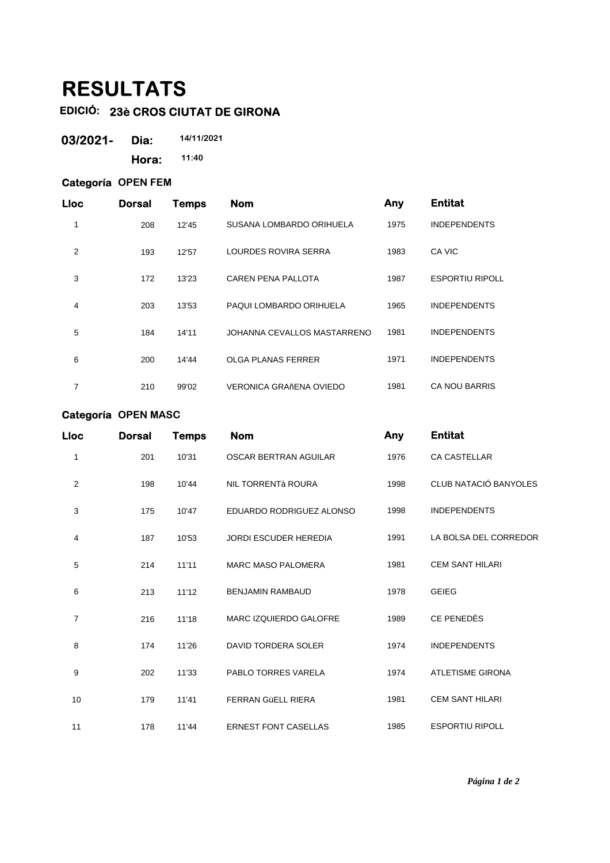## **RESULTATS**

## **EDICIÓ: 23è CROS CIUTAT DE GIRONA**

| 03/2021- | Dia:  | 14/11/2021 |
|----------|-------|------------|
|          | Hora: | 11:40      |

## **Categoría OPEN FEM**

| <b>Lloc</b> | <b>Dorsal</b> | Temps | <b>Nom</b>                  | Any  | <b>Entitat</b>         |
|-------------|---------------|-------|-----------------------------|------|------------------------|
| 1           | 208           | 12'45 | SUSANA LOMBARDO ORIHUELA    | 1975 | <b>INDEPENDENTS</b>    |
| 2           | 193           | 12'57 | LOURDES ROVIRA SERRA        | 1983 | CA VIC                 |
| 3           | 172           | 13'23 | <b>CAREN PENA PALLOTA</b>   | 1987 | <b>ESPORTIU RIPOLL</b> |
| 4           | 203           | 13'53 | PAQUI LOMBARDO ORIHUELA     | 1965 | <b>INDEPENDENTS</b>    |
| 5           | 184           | 14'11 | JOHANNA CEVALLOS MASTARRENO | 1981 | <b>INDEPENDENTS</b>    |
| 6           | 200           | 14'44 | <b>OLGA PLANAS FERRER</b>   | 1971 | <b>INDEPENDENTS</b>    |
| 7           | 210           | 99'02 | VERONICA GRAñENA OVIEDO     | 1981 | <b>CA NOU BARRIS</b>   |

## **Categoría OPEN MASC**

| <b>Lloc</b>    | <b>Dorsal</b> | <b>Temps</b> | <b>Nom</b>                    | Any  | <b>Entitat</b>          |
|----------------|---------------|--------------|-------------------------------|------|-------------------------|
| 1              | 201           | 10'31        | <b>OSCAR BERTRAN AGUILAR</b>  | 1976 | CA CASTELLAR            |
| $\overline{2}$ | 198           | 10'44        | NIL TORRENTÀ ROURA            | 1998 | CLUB NATACIÓ BANYOLES   |
| 3              | 175           | 10'47        | EDUARDO RODRIGUEZ ALONSO      | 1998 | <b>INDEPENDENTS</b>     |
| 4              | 187           | 10'53        | <b>JORDI ESCUDER HEREDIA</b>  | 1991 | LA BOLSA DEL CORREDOR   |
| 5              | 214           | 11'11        | <b>MARC MASO PALOMERA</b>     | 1981 | <b>CEM SANT HILARI</b>  |
| 6              | 213           | 11'12        | <b>BENJAMIN RAMBAUD</b>       | 1978 | <b>GEIEG</b>            |
| 7              | 216           | 11'18        | <b>MARC IZQUIERDO GALOFRE</b> | 1989 | CE PENEDÈS              |
| 8              | 174           | 11'26        | DAVID TORDERA SOLER           | 1974 | <b>INDEPENDENTS</b>     |
| 9              | 202           | 11'33        | PABLO TORRES VARELA           | 1974 | <b>ATLETISME GIRONA</b> |
| 10             | 179           | 11'41        | <b>FERRAN GÜELL RIERA</b>     | 1981 | <b>CEM SANT HILARI</b>  |
| 11             | 178           | 11'44        | <b>ERNEST FONT CASELLAS</b>   | 1985 | <b>ESPORTIU RIPOLL</b>  |